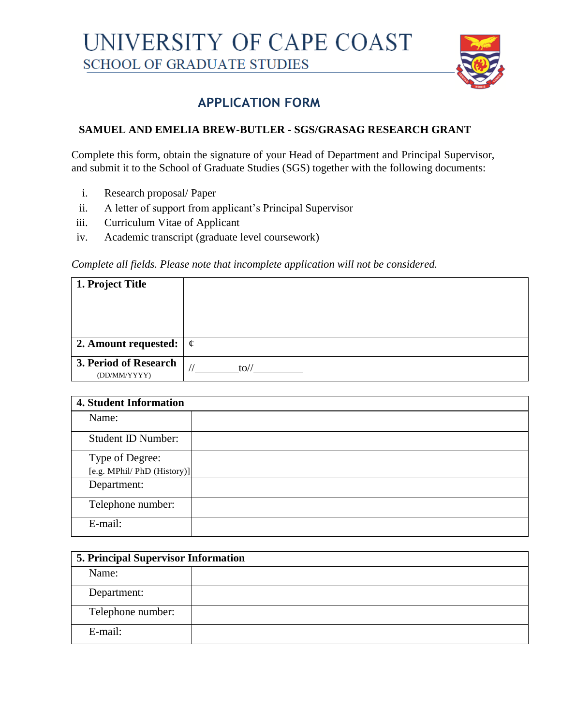

## **APPLICATION FORM**

## **SAMUEL AND EMELIA BREW-BUTLER - SGS/GRASAG RESEARCH GRANT**

Complete this form, obtain the signature of your Head of Department and Principal Supervisor, and submit it to the School of Graduate Studies (SGS) together with the following documents:

- i. Research proposal/ Paper
- ii. A letter of support from applicant's Principal Supervisor
- iii. Curriculum Vitae of Applicant
- iv. Academic transcript (graduate level coursework)

## *Complete all fields. Please note that incomplete application will not be considered.*

| 1. Project Title                      |         |
|---------------------------------------|---------|
|                                       |         |
| 2. Amount requested:                  | $\phi$  |
| 3. Period of Research<br>(DD/MM/YYYY) | $to$ // |

| <b>4. Student Information</b> |  |
|-------------------------------|--|
| Name:                         |  |
| <b>Student ID Number:</b>     |  |
| Type of Degree:               |  |
| [e.g. MPhil/ PhD (History)]   |  |
| Department:                   |  |
| Telephone number:             |  |
| E-mail:                       |  |

| <b>5. Principal Supervisor Information</b> |  |  |
|--------------------------------------------|--|--|
| Name:                                      |  |  |
| Department:                                |  |  |
| Telephone number:                          |  |  |
| E-mail:                                    |  |  |